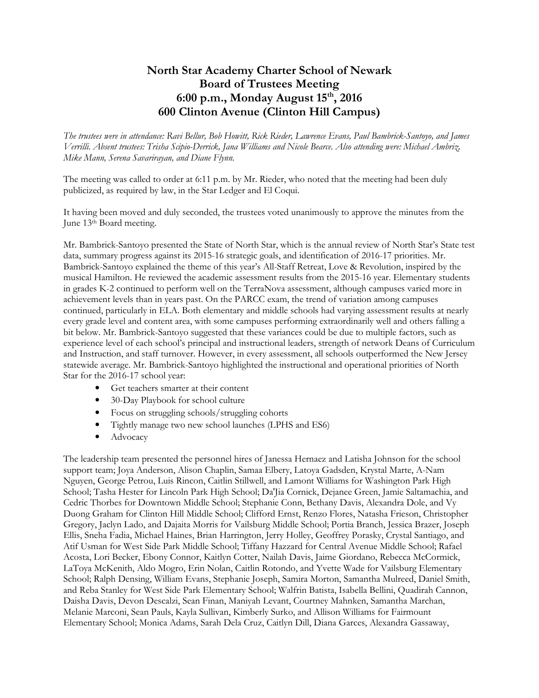## North Star Academy Charter School of Newark Board of Trustees Meeting 6:00 p.m., Monday August 15<sup>th</sup>, 2016 600 Clinton Avenue (Clinton Hill Campus)

 The trustees were in attendance: Ravi Bellur, Bob Howitt, Rick Rieder, Lawrence Evans, Paul Bambrick-Santoyo, and James Verrilli. Absent trustees: Trisha Scipio-Derrick, Jana Williams and Nicole Bearce. Also attending were: Michael Ambriz, Mike Mann, Serena Savarirayan, and Diane Flynn.

 The meeting was called to order at 6:11 p.m. by Mr. Rieder, who noted that the meeting had been duly publicized, as required by law, in the Star Ledger and El Coqui.

 It having been moved and duly seconded, the trustees voted unanimously to approve the minutes from the June 13<sup>th</sup> Board meeting.

 Mr. Bambrick-Santoyo presented the State of North Star, which is the annual review of North Star's State test [data, summary progress against its 2015-16 strategic goals, and identification of 2016-17 priorities. Mr.](https://data,summaryprogressagainstits2015-16strategicgoals,andidentificationof2016-17priorities.Mr) Bambrick-Santoyo explained the theme of this year's All-Staff Retreat, Love & Revolution, inspired by the musical Hamilton. He reviewed the academic assessment results from the 2015-16 year. Elementary students in grades K-2 continued to perform well on the TerraNova assessment, although campuses varied more in achievement levels than in years past. On the PARCC exam, the trend of variation among campuses continued, particularly in ELA. Both elementary and middle schools had varying assessment results at nearly every grade level and content area, with some campuses performing extraordinarily well and others falling a bit below. Mr. Bambrick-Santoyo suggested that these variances could be due to multiple factors, such as experience level of each school's principal and instructional leaders, strength of network Deans of Curriculum and Instruction, and staff turnover. However, in every assessment, all schools outperformed the New Jersey statewide average. Mr. Bambrick-Santoyo highlighted the instructional and operational priorities of North Star for the 2016-17 school year:

- Get teachers smarter at their content
- 30-Day Playbook for school culture
- Focus on struggling schools/struggling cohorts
- Tightly manage two new school launches (LPHS and ES6)
- Advocacy

 The leadership team presented the personnel hires of Janessa Hernaez and Latisha Johnson for the school support team; Joya Anderson, Alison Chaplin, Samaa Elbery, Latoya Gadsden, Krystal Marte, A-Nam Nguyen, George Petrou, Luis Rincon, Caitlin Stillwell, and Lamont Williams for Washington Park High School; Tasha Hester for Lincoln Park High School; Da'Jia Cornick, Dejanee Green, Jamie Saltamachia, and Cedric Thorbes for Downtown Middle School; Stephanie Conn, Bethany Davis, Alexandra Dole, and Vy Duong Graham for Clinton Hill Middle School; Clifford Ernst, Renzo Flores, Natasha Frieson, Christopher Gregory, Jaclyn Lado, and Dajaita Morris for Vailsburg Middle School; Portia Branch, Jessica Brazer, Joseph Ellis, Sneha Fadia, Michael Haines, Brian Harrington, Jerry Holley, Geoffrey Porasky, Crystal Santiago, and Atif Usman for West Side Park Middle School; Tiffany Hazzard for Central Avenue Middle School; Rafael Acosta, Lori Becker, Ebony Connor, Kaitlyn Cotter, Nailah Davis, Jaime Giordano, Rebecca McCormick, LaToya McKenith, Aldo Mogro, Erin Nolan, Caitlin Rotondo, and Yvette Wade for Vailsburg Elementary School; Ralph Densing, William Evans, Stephanie Joseph, Samira Morton, Samantha Mulreed, Daniel Smith, and Reba Stanley for West Side Park Elementary School; Walfrin Batista, Isabella Bellini, Quadirah Cannon, Daisha Davis, Devon Descalzi, Sean Finan, Maniyah Levant, Courtney Mahnken, Samantha Marchan, Melanie Marconi, Sean Pauls, Kayla Sullivan, Kimberly Surko, and Allison Williams for Fairmount Elementary School; Monica Adams, Sarah Dela Cruz, Caitlyn Dill, Diana Garces, Alexandra Gassaway,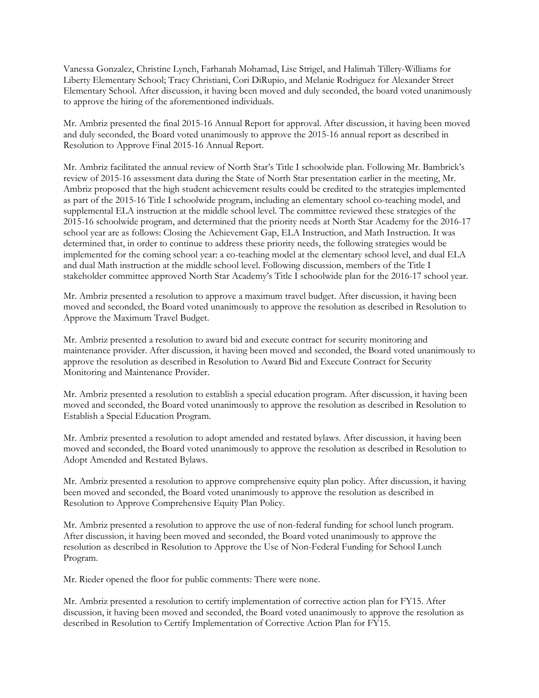Vanessa Gonzalez, Christine Lynch, Farhanah Mohamad, Lise Strigel, and Halimah Tillery-Williams for Liberty Elementary School; Tracy Christiani, Cori DiRupio, and Melanie Rodriguez for Alexander Street Elementary School. After discussion, it having been moved and duly seconded, the board voted unanimously to approve the hiring of the aforementioned individuals.

 Mr. Ambriz presented the final 2015-16 Annual Report for approval. After discussion, it having been moved and duly seconded, the Board voted unanimously to approve the 2015-16 annual report as described in Resolution to Approve Final 2015-16 Annual Report.

 Mr. Ambriz facilitated the annual review of North Star's Title I schoolwide plan. Following Mr. Bambrick's review of 2015-16 assessment data during the State of North Star presentation earlier in the meeting, Mr. Ambriz proposed that the high student achievement results could be credited to the strategies implemented as part of the 2015-16 Title I schoolwide program, including an elementary school co-teaching model, and supplemental ELA instruction at the middle school level. The committee reviewed these strategies of the 2015-16 schoolwide program, and determined that the priority needs at North Star Academy for the 2016-17 school year are as follows: Closing the Achievement Gap, ELA Instruction, and Math Instruction. It was determined that, in order to continue to address these priority needs, the following strategies would be implemented for the coming school year: a co-teaching model at the elementary school level, and dual ELA and dual Math instruction at the middle school level. Following discussion, members of the Title I stakeholder committee approved North Star Academy's Title I schoolwide plan for the 2016-17 school year.

 Mr. Ambriz presented a resolution to approve a maximum travel budget. After discussion, it having been moved and seconded, the Board voted unanimously to approve the resolution as described in Resolution to Approve the Maximum Travel Budget.

 Mr. Ambriz presented a resolution to award bid and execute contract for security monitoring and maintenance provider. After discussion, it having been moved and seconded, the Board voted unanimously to approve the resolution as described in Resolution to Award Bid and Execute Contract for Security Monitoring and Maintenance Provider.

 Mr. Ambriz presented a resolution to establish a special education program. After discussion, it having been moved and seconded, the Board voted unanimously to approve the resolution as described in Resolution to Establish a Special Education Program.

 Mr. Ambriz presented a resolution to adopt amended and restated bylaws. After discussion, it having been moved and seconded, the Board voted unanimously to approve the resolution as described in Resolution to Adopt Amended and Restated Bylaws.

 Mr. Ambriz presented a resolution to approve comprehensive equity plan policy. After discussion, it having been moved and seconded, the Board voted unanimously to approve the resolution as described in Resolution to Approve Comprehensive Equity Plan Policy.

 Mr. Ambriz presented a resolution to approve the use of non-federal funding for school lunch program. After discussion, it having been moved and seconded, the Board voted unanimously to approve the resolution as described in Resolution to Approve the Use of Non-Federal Funding for School Lunch Program.

Mr. Rieder opened the floor for public comments: There were none.

 Mr. Ambriz presented a resolution to certify implementation of corrective action plan for FY15. After discussion, it having been moved and seconded, the Board voted unanimously to approve the resolution as described in Resolution to Certify Implementation of Corrective Action Plan for FY15.